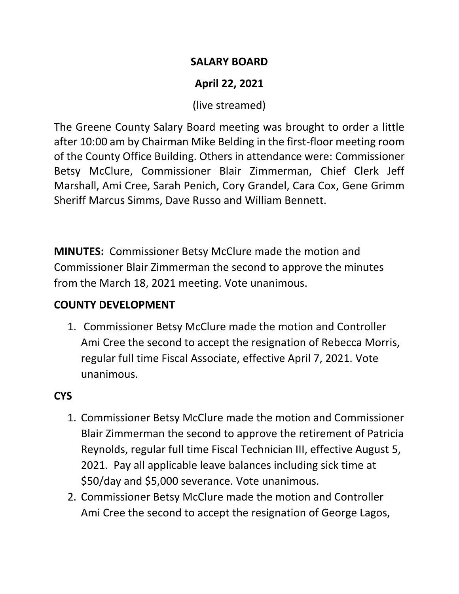#### **SALARY BOARD**

# **April 22, 2021**

(live streamed)

The Greene County Salary Board meeting was brought to order a little after 10:00 am by Chairman Mike Belding in the first-floor meeting room of the County Office Building. Others in attendance were: Commissioner Betsy McClure, Commissioner Blair Zimmerman, Chief Clerk Jeff Marshall, Ami Cree, Sarah Penich, Cory Grandel, Cara Cox, Gene Grimm Sheriff Marcus Simms, Dave Russo and William Bennett.

**MINUTES:** Commissioner Betsy McClure made the motion and Commissioner Blair Zimmerman the second to approve the minutes from the March 18, 2021 meeting. Vote unanimous.

### **COUNTY DEVELOPMENT**

1. Commissioner Betsy McClure made the motion and Controller Ami Cree the second to accept the resignation of Rebecca Morris, regular full time Fiscal Associate, effective April 7, 2021. Vote unanimous.

# **CYS**

- 1. Commissioner Betsy McClure made the motion and Commissioner Blair Zimmerman the second to approve the retirement of Patricia Reynolds, regular full time Fiscal Technician III, effective August 5, 2021. Pay all applicable leave balances including sick time at \$50/day and \$5,000 severance. Vote unanimous.
- 2. Commissioner Betsy McClure made the motion and Controller Ami Cree the second to accept the resignation of George Lagos,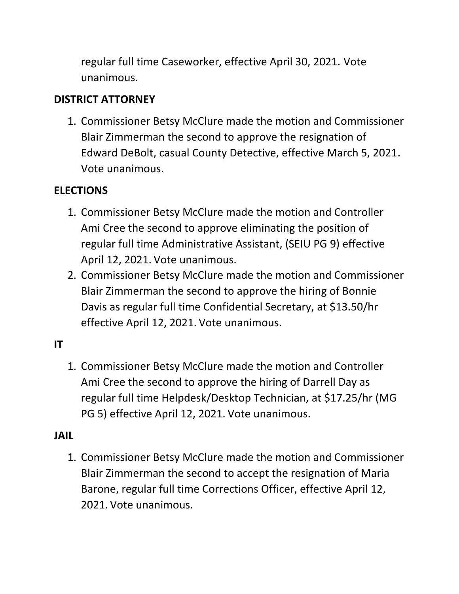regular full time Caseworker, effective April 30, 2021. Vote unanimous.

### **DISTRICT ATTORNEY**

1. Commissioner Betsy McClure made the motion and Commissioner Blair Zimmerman the second to approve the resignation of Edward DeBolt, casual County Detective, effective March 5, 2021. Vote unanimous.

### **ELECTIONS**

- 1. Commissioner Betsy McClure made the motion and Controller Ami Cree the second to approve eliminating the position of regular full time Administrative Assistant, (SEIU PG 9) effective April 12, 2021. Vote unanimous.
- 2. Commissioner Betsy McClure made the motion and Commissioner Blair Zimmerman the second to approve the hiring of Bonnie Davis as regular full time Confidential Secretary, at \$13.50/hr effective April 12, 2021. Vote unanimous.

# **IT**

1. Commissioner Betsy McClure made the motion and Controller Ami Cree the second to approve the hiring of Darrell Day as regular full time Helpdesk/Desktop Technician, at \$17.25/hr (MG PG 5) effective April 12, 2021. Vote unanimous.

#### **JAIL**

1. Commissioner Betsy McClure made the motion and Commissioner Blair Zimmerman the second to accept the resignation of Maria Barone, regular full time Corrections Officer, effective April 12, 2021. Vote unanimous.